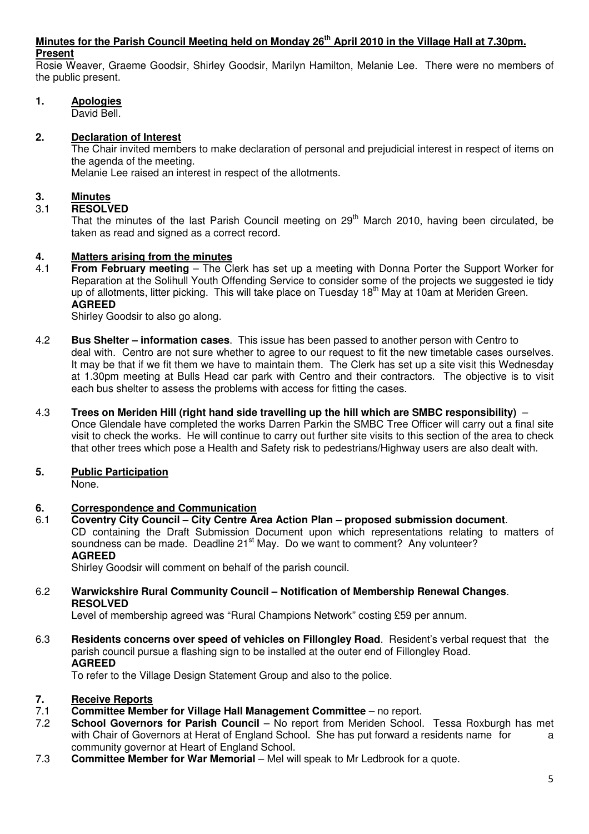#### **Minutes for the Parish Council Meeting held on Monday 26th April 2010 in the Village Hall at 7.30pm. Present**

Rosie Weaver, Graeme Goodsir, Shirley Goodsir, Marilyn Hamilton, Melanie Lee. There were no members of the public present.

# **1. Apologies**

David Bell.

# **2. Declaration of Interest**

The Chair invited members to make declaration of personal and prejudicial interest in respect of items on the agenda of the meeting. Melanie Lee raised an interest in respect of the allotments.

# **3. Minutes**

# 3.1 **RESOLVED**

That the minutes of the last Parish Council meeting on 29<sup>th</sup> March 2010, having been circulated, be taken as read and signed as a correct record.

# **4. Matters arising from the minutes**

4.1 **From February meeting** – The Clerk has set up a meeting with Donna Porter the Support Worker for Reparation at the Solihull Youth Offending Service to consider some of the projects we suggested ie tidy up of allotments, litter picking. This will take place on Tuesday 18<sup>th</sup> May at 10am at Meriden Green.  **AGREED** 

Shirley Goodsir to also go along.

- 4.2 **Bus Shelter information cases**. This issue has been passed to another person with Centro to deal with. Centro are not sure whether to agree to our request to fit the new timetable cases ourselves. It may be that if we fit them we have to maintain them. The Clerk has set up a site visit this Wednesday at 1.30pm meeting at Bulls Head car park with Centro and their contractors. The objective is to visit each bus shelter to assess the problems with access for fitting the cases.
- 4.3 **Trees on Meriden Hill (right hand side travelling up the hill which are SMBC responsibility)**  Once Glendale have completed the works Darren Parkin the SMBC Tree Officer will carry out a final site

visit to check the works. He will continue to carry out further site visits to this section of the area to check that other trees which pose a Health and Safety risk to pedestrians/Highway users are also dealt with.

# **5. Public Participation**

None.

#### **6. Correspondence and Communication**

6.1 **Coventry City Council – City Centre Area Action Plan – proposed submission document**. CD containing the Draft Submission Document upon which representations relating to matters of soundness can be made. Deadline 21<sup>st</sup> May. Do we want to comment? Any volunteer? **AGREED** 

Shirley Goodsir will comment on behalf of the parish council.

6.2 **Warwickshire Rural Community Council – Notification of Membership Renewal Changes**. **RESOLVED** 

Level of membership agreed was "Rural Champions Network" costing £59 per annum.

6.3 **Residents concerns over speed of vehicles on Fillongley Road**. Resident's verbal request that the parish council pursue a flashing sign to be installed at the outer end of Fillongley Road. **AGREED** 

To refer to the Village Design Statement Group and also to the police.

#### **7. Receive Reports**

- 7.1 **Committee Member for Village Hall Management Committee**  no report.
- 7.2 **School Governors for Parish Council**  No report from Meriden School. Tessa Roxburgh has met with Chair of Governors at Herat of England School. She has put forward a residents name for a community governor at Heart of England School.
- 7.3 **Committee Member for War Memorial**  Mel will speak to Mr Ledbrook for a quote.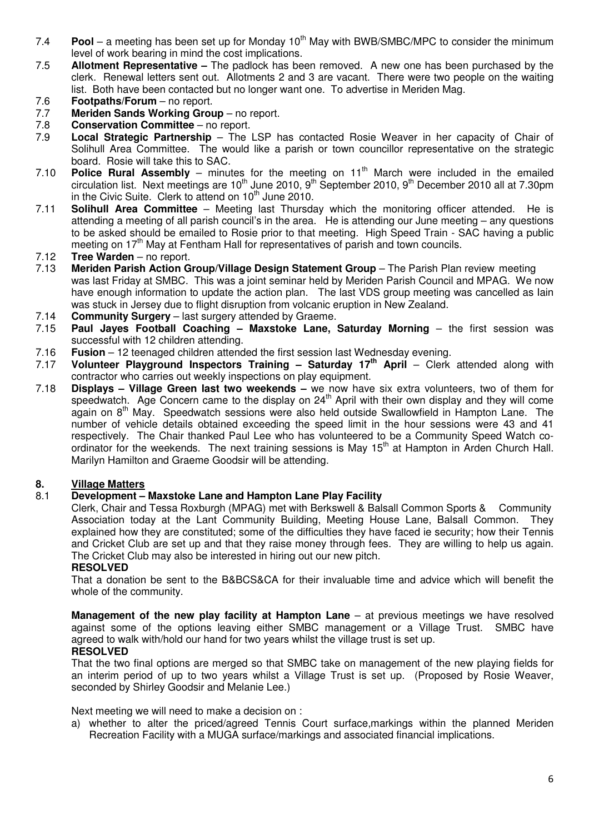- 7.4 **Pool** a meeting has been set up for Monday 10<sup>th</sup> May with BWB/SMBC/MPC to consider the minimum level of work bearing in mind the cost implications.
- 7.5 **Allotment Representative** The padlock has been removed. A new one has been purchased by the clerk. Renewal letters sent out. Allotments 2 and 3 are vacant. There were two people on the waiting list. Both have been contacted but no longer want one. To advertise in Meriden Mag.
- 7.6 **Footpaths/Forum**  no report.
- 7.7 **Meriden Sands Working Group** no report.
- 7.8 **Conservation Committee**  no report.
- 7.9 **Local Strategic Partnership**  The LSP has contacted Rosie Weaver in her capacity of Chair of Solihull Area Committee. The would like a parish or town councillor representative on the strategic board. Rosie will take this to SAC.<br>7.10 **Police Rural Assembly** – minut
- 7.10 **Police Rural Assembly** minutes for the meeting on 11<sup>th</sup> March were included in the emailed circulation list. Next meetings are 10<sup>th</sup> June 2010, 9<sup>th</sup> September 2010, 9<sup>th</sup> December 2010 all at 7.30pm in the Civic Suite. Clerk to attend on  $10<sup>th</sup>$  June 2010.
- 7.11 **Solihull Area Committee**  Meeting last Thursday which the monitoring officer attended. He is attending a meeting of all parish council's in the area. He is attending our June meeting – any questions to be asked should be emailed to Rosie prior to that meeting. High Speed Train - SAC having a public meeting on 17<sup>th</sup> May at Fentham Hall for representatives of parish and town councils.
- 7.12 **Tree Warden**  no report.
- 7.13 **Meriden Parish Action Group/Village Design Statement Group**  The Parish Plan review meeting was last Friday at SMBC. This was a joint seminar held by Meriden Parish Council and MPAG. We now have enough information to update the action plan. The last VDS group meeting was cancelled as Iain was stuck in Jersey due to flight disruption from volcanic eruption in New Zealand.
- 7.14 **Community Surgery**  last surgery attended by Graeme.
- 7.15 **Paul Jayes Football Coaching Maxstoke Lane, Saturday Morning the first session was** successful with 12 children attending.
- 7.16 **Fusion**  12 teenaged children attended the first session last Wednesday evening.
- 7.17 **Volunteer Playground Inspectors Training Saturday 17th April**  Clerk attended along with contractor who carries out weekly inspections on play equipment.
- 7.18 **Displays Village Green last two weekends** we now have six extra volunteers, two of them for speedwatch. Age Concern came to the display on 24<sup>th</sup> April with their own display and they will come again on 8th May. Speedwatch sessions were also held outside Swallowfield in Hampton Lane. The number of vehicle details obtained exceeding the speed limit in the hour sessions were 43 and 41 respectively. The Chair thanked Paul Lee who has volunteered to be a Community Speed Watch coordinator for the weekends. The next training sessions is May 15<sup>th</sup> at Hampton in Arden Church Hall. Marilyn Hamilton and Graeme Goodsir will be attending.

#### **8. Village Matters**

#### 8.1 **Development – Maxstoke Lane and Hampton Lane Play Facility**

 Clerk, Chair and Tessa Roxburgh (MPAG) met with Berkswell & Balsall Common Sports & Community Association today at the Lant Community Building, Meeting House Lane, Balsall Common. They explained how they are constituted; some of the difficulties they have faced ie security; how their Tennis and Cricket Club are set up and that they raise money through fees. They are willing to help us again. The Cricket Club may also be interested in hiring out our new pitch.

#### **RESOLVED**

 That a donation be sent to the B&BCS&CA for their invaluable time and advice which will benefit the whole of the community.

**Management of the new play facility at Hampton Lane** – at previous meetings we have resolved against some of the options leaving either SMBC management or a Village Trust. SMBC have agreed to walk with/hold our hand for two years whilst the village trust is set up. **RESOLVED** 

 That the two final options are merged so that SMBC take on management of the new playing fields for an interim period of up to two years whilst a Village Trust is set up. (Proposed by Rosie Weaver, seconded by Shirley Goodsir and Melanie Lee.)

Next meeting we will need to make a decision on :

a) whether to alter the priced/agreed Tennis Court surface,markings within the planned Meriden Recreation Facility with a MUGA surface/markings and associated financial implications.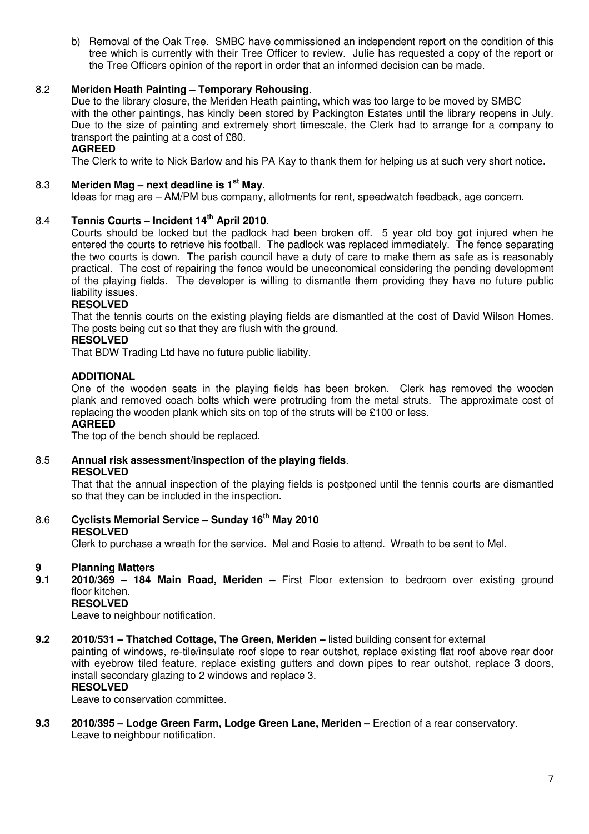b) Removal of the Oak Tree. SMBC have commissioned an independent report on the condition of this tree which is currently with their Tree Officer to review. Julie has requested a copy of the report or the Tree Officers opinion of the report in order that an informed decision can be made.

#### 8.2 **Meriden Heath Painting – Temporary Rehousing**.

 Due to the library closure, the Meriden Heath painting, which was too large to be moved by SMBC with the other paintings, has kindly been stored by Packington Estates until the library reopens in July. Due to the size of painting and extremely short timescale, the Clerk had to arrange for a company to transport the painting at a cost of £80.

#### **AGREED**

The Clerk to write to Nick Barlow and his PA Kay to thank them for helping us at such very short notice.

#### 8.3 **Meriden Mag – next deadline is 1st May**.

Ideas for mag are – AM/PM bus company, allotments for rent, speedwatch feedback, age concern.

#### 8.4 **Tennis Courts – Incident 14th April 2010**.

Courts should be locked but the padlock had been broken off. 5 year old boy got injured when he entered the courts to retrieve his football. The padlock was replaced immediately. The fence separating the two courts is down. The parish council have a duty of care to make them as safe as is reasonably practical. The cost of repairing the fence would be uneconomical considering the pending development of the playing fields. The developer is willing to dismantle them providing they have no future public liability issues.

#### **RESOLVED**

That the tennis courts on the existing playing fields are dismantled at the cost of David Wilson Homes. The posts being cut so that they are flush with the ground.

#### **RESOLVED**

That BDW Trading Ltd have no future public liability.

#### **ADDITIONAL**

 One of the wooden seats in the playing fields has been broken. Clerk has removed the wooden plank and removed coach bolts which were protruding from the metal struts. The approximate cost of replacing the wooden plank which sits on top of the struts will be £100 or less.

#### **AGREED**

The top of the bench should be replaced.

8.5 **Annual risk assessment/inspection of the playing fields**. **RESOLVED** 

 That that the annual inspection of the playing fields is postponed until the tennis courts are dismantled so that they can be included in the inspection.

# 8.6 **Cyclists Memorial Service – Sunday 16th May 2010**

#### **RESOLVED**

Clerk to purchase a wreath for the service. Mel and Rosie to attend. Wreath to be sent to Mel.

# **9 Planning Matters**

**9.1 2010/369 – 184 Main Road, Meriden –** First Floor extension to bedroom over existing ground floor kitchen.

# **RESOLVED**

Leave to neighbour notification.

**9.2 2010/531 – Thatched Cottage, The Green, Meriden –** listed building consent for external

painting of windows, re-tile/insulate roof slope to rear outshot, replace existing flat roof above rear door with eyebrow tiled feature, replace existing gutters and down pipes to rear outshot, replace 3 doors, install secondary glazing to 2 windows and replace 3.

# **RESOLVED**

Leave to conservation committee.

**9.3 2010/395 – Lodge Green Farm, Lodge Green Lane, Meriden –** Erection of a rear conservatory. Leave to neighbour notification.